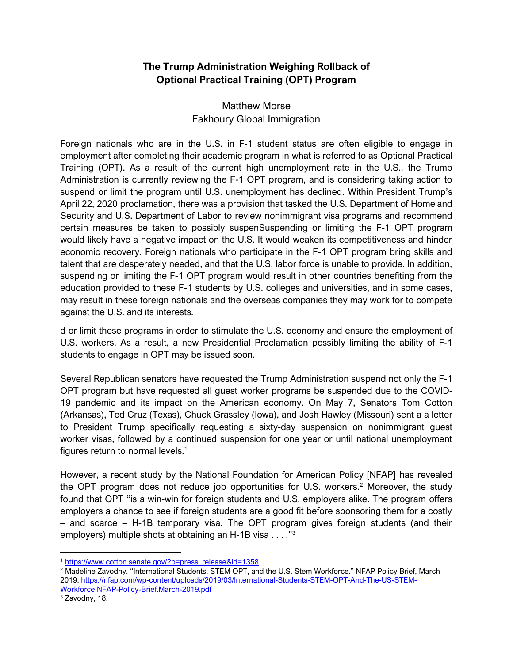## **The Trump Administration Weighing Rollback of Optional Practical Training (OPT) Program**

## Matthew Morse Fakhoury Global Immigration

Foreign nationals who are in the U.S. in F-1 student status are often eligible to engage in employment after completing their academic program in what is referred to as Optional Practical Training (OPT). As a result of the current high unemployment rate in the U.S., the Trump Administration is currently reviewing the F-1 OPT program, and is considering taking action to suspend or limit the program until U.S. unemployment has declined. Within President Trump's April 22, 2020 proclamation, there was a provision that tasked the U.S. Department of Homeland Security and U.S. Department of Labor to review nonimmigrant visa programs and recommend certain measures be taken to possibly suspenSuspending or limiting the F-1 OPT program would likely have a negative impact on the U.S. It would weaken its competitiveness and hinder economic recovery. Foreign nationals who participate in the F-1 OPT program bring skills and talent that are desperately needed, and that the U.S. labor force is unable to provide. In addition, suspending or limiting the F-1 OPT program would result in other countries benefiting from the education provided to these F-1 students by U.S. colleges and universities, and in some cases, may result in these foreign nationals and the overseas companies they may work for to compete against the U.S. and its interests.

d or limit these programs in order to stimulate the U.S. economy and ensure the employment of U.S. workers. As a result, a new Presidential Proclamation possibly limiting the ability of F-1 students to engage in OPT may be issued soon.

Several Republican senators have requested the Trump Administration suspend not only the F-1 OPT program but have requested all guest worker programs be suspended due to the COVID-19 pandemic and its impact on the American economy. On May 7, Senators Tom Cotton (Arkansas), Ted Cruz (Texas), Chuck Grassley (Iowa), and Josh Hawley (Missouri) sent a a letter to President Trump specifically requesting a sixty-day suspension on nonimmigrant guest worker visas, followed by a continued suspension for one year or until national unemployment figures return to normal levels. $<sup>1</sup>$ </sup>

However, a recent study by the National Foundation for American Policy [NFAP] has revealed the OPT program does not reduce job opportunities for U.S. workers.<sup>2</sup> Moreover, the study found that OPT "is a win-win for foreign students and U.S. employers alike. The program offers employers a chance to see if foreign students are a good fit before sponsoring them for a costly – and scarce – H-1B temporary visa. The OPT program gives foreign students (and their employers) multiple shots at obtaining an H-1B visa . . . ."<sup>3</sup>

<sup>1</sup> [https://www.cotton.senate.gov/?p=press\\_release&id=1358](https://www.cotton.senate.gov/?p=press_release&id=1358)

<sup>&</sup>lt;sup>2</sup> Madeline Zavodny. "International Students, STEM OPT, and the U.S. Stem Workforce." NFAP Policy Brief, March 2019[: https://nfap.com/wp-content/uploads/2019/03/International-Students-STEM-OPT-And-The-US-STEM-](https://nfap.com/wp-content/uploads/2019/03/International-Students-STEM-OPT-And-The-US-STEM-Workforce.NFAP-Policy-Brief.March-2019.pdf)[Workforce.NFAP-Policy-Brief.March-2019.pdf](https://nfap.com/wp-content/uploads/2019/03/International-Students-STEM-OPT-And-The-US-STEM-Workforce.NFAP-Policy-Brief.March-2019.pdf)

<sup>&</sup>lt;sup>3</sup> Zavodny, 18.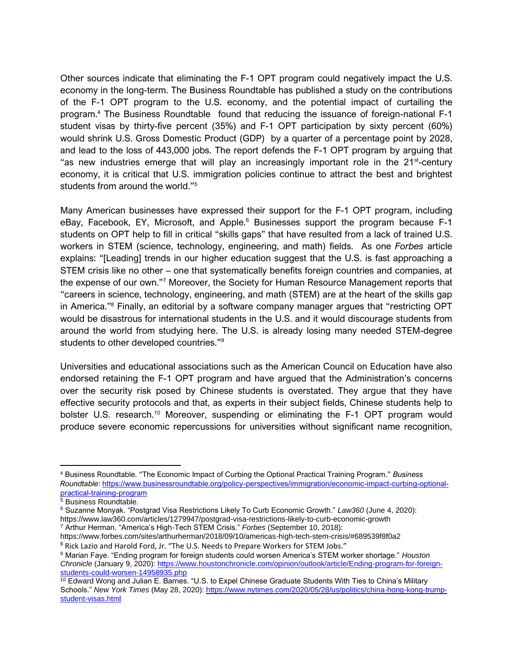Other sources indicate that eliminating the F-1 OPT program could negatively impact the U.S. economy in the long-term. The Business Roundtable has published a study on the contributions of the F-1 OPT program to the U.S. economy, and the potential impact of curtailing the program.<sup>4</sup> The Business Roundtable found that reducing the issuance of foreign-national F-1 student visas by thirty-five percent (35%) and F-1 OPT participation by sixty percent (60%) would shrink U.S. Gross Domestic Product (GDP) by a quarter of a percentage point by 2028, and lead to the loss of 443,000 jobs. The report defends the F-1 OPT program by arguing that "as new industries emerge that will play an increasingly important role in the 21<sup>st</sup>-century economy, it is critical that U.S. immigration policies continue to attract the best and brightest students from around the world."<sup>5</sup>

Many American businesses have expressed their support for the F-1 OPT program, including eBay, Facebook, EY, Microsoft, and Apple.<sup>6</sup> Businesses support the program because F-1 students on OPT help to fill in critical "skills gaps" that have resulted from a lack of trained U.S. workers in STEM (science, technology, engineering, and math) fields. As one *Forbes* article explains: "[Leading] trends in our higher education suggest that the U.S. is fast approaching a STEM crisis like no other – one that systematically benefits foreign countries and companies, at the expense of our own."<sup>7</sup> Moreover, the Society for Human Resource Management reports that "careers in science, technology, engineering, and math (STEM) are at the heart of the skills gap in America."<sup>8</sup> Finally, an editorial by a software company manager argues that "restricting OPT would be disastrous for international students in the U.S. and it would discourage students from around the world from studying here. The U.S. is already losing many needed STEM-degree students to other developed countries."<sup>9</sup>

Universities and educational associations such as the American Council on Education have also endorsed retaining the F-1 OPT program and have argued that the Administration's concerns over the security risk posed by Chinese students is overstated. They argue that they have effective security protocols and that, as experts in their subject fields, Chinese students help to bolster U.S. research.<sup>10</sup> Moreover, suspending or eliminating the F-1 OPT program would produce severe economic repercussions for universities without significant name recognition,

<sup>7</sup> Arthur Herman. "America's High-Tech STEM Crisis." *Forbes* (September 10, 2018):

<sup>4</sup> Business Roundtable. "The Economic Impact of Curbing the Optional Practical Training Program." *Business Roundtable*: [https://www.businessroundtable.org/policy-perspectives/immigration/economic-impact-curbing-optional](https://www.businessroundtable.org/policy-perspectives/immigration/economic-impact-curbing-optional-practical-training-program)[practical-training-program](https://www.businessroundtable.org/policy-perspectives/immigration/economic-impact-curbing-optional-practical-training-program)

<sup>5</sup> Business Roundtable.

<sup>6</sup> Suzanne Monyak. "Postgrad Visa Restrictions Likely To Curb Economic Growth." *Law360* (June 4, 2020): https://www.law360.com/articles/1279947/postgrad-visa-restrictions-likely-to-curb-economic-growth

https://www.forbes.com/sites/arthurherman/2018/09/10/americas-high-tech-stem-crisis/#689539f8f0a2 <sup>8</sup> Rick Lazio and Harold Ford, Jr. "The U.S. Needs to Prepare Workers for STEM Jobs."

<sup>9</sup> Marian Faye. "Ending program for foreign students could worsen America's STEM worker shortage." *Houston Chronicle* (January 9, 2020): [https://www.houstonchronicle.com/opinion/outlook/article/Ending-program-for-foreign](https://www.houstonchronicle.com/opinion/outlook/article/Ending-program-for-foreign-students-could-worsen-14958935.php)[students-could-worsen-14958935.php](https://www.houstonchronicle.com/opinion/outlook/article/Ending-program-for-foreign-students-could-worsen-14958935.php)

 $10$  Edward Wong and Julian E. Barnes. "U.S. to Expel Chinese Graduate Students With Ties to China's Military Schools." *New York Times* (May 28, 2020): [https://www.nytimes.com/2020/05/28/us/politics/china-hong-kong-trump](https://www.nytimes.com/2020/05/28/us/politics/china-hong-kong-trump-student-visas.html)[student-visas.html](https://www.nytimes.com/2020/05/28/us/politics/china-hong-kong-trump-student-visas.html)